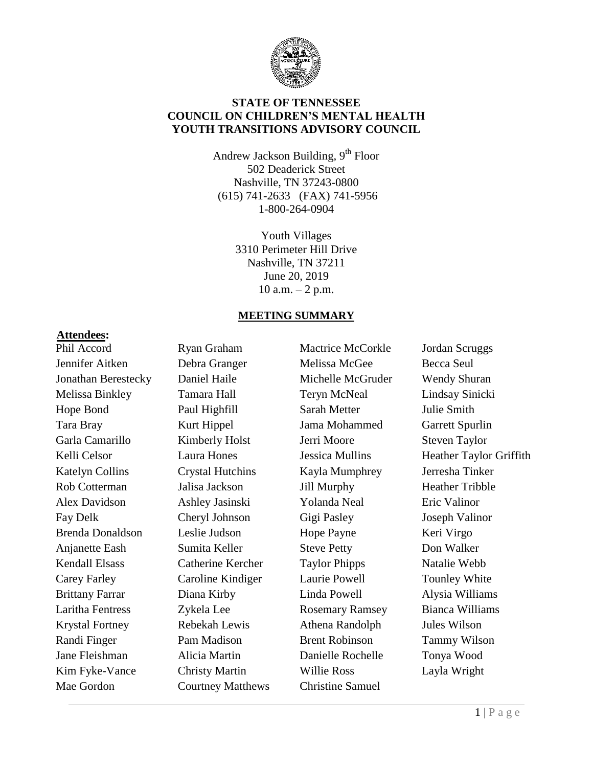

### **STATE OF TENNESSEE COUNCIL ON CHILDREN'S MENTAL HEALTH YOUTH TRANSITIONS ADVISORY COUNCIL**

Andrew Jackson Building, 9<sup>th</sup> Floor 502 Deaderick Street Nashville, TN 37243-0800 (615) 741-2633 (FAX) 741-5956 1-800-264-0904

> Youth Villages 3310 Perimeter Hill Drive Nashville, TN 37211 June 20, 2019 10 a.m.  $-2$  p.m.

#### **MEETING SUMMARY**

#### **Attendees:**

Phil Accord Jennifer Aitken Jonathan Berestecky Melissa Binkley Hope Bond Tara Bray Garla Camarillo Kelli Celsor Katelyn Collins Rob Cotterman Alex Davidson Fay Delk Brenda Donaldson Anjanette Eash Kendall Elsass Carey Farley Brittany Farrar Laritha Fentress Krystal Fortney Randi Finger Jane Fleishman Kim Fyke-Vance Mae Gordon

Ryan Graham Debra Granger Daniel Haile Tamara Hall Paul Highfill Kurt Hippel Kimberly Holst Laura Hones Crystal Hutchins Jalisa Jackson Ashley Jasinski Cheryl Johnson Leslie Judson Sumita Keller Catherine Kercher Caroline Kindiger Diana Kirby Zykela Lee Rebekah Lewis Pam Madison Alicia Martin Christy Martin Courtney Matthews Mactrice McCorkle Melissa McGee Michelle McGruder Teryn McNeal Sarah Metter Jama Mohammed Jerri Moore Jessica Mullins Kayla Mumphrey Jill Murphy Yolanda Neal Gigi Pasley Hope Payne Steve Petty Taylor Phipps Laurie Powell Linda Powell Rosemary Ramsey Athena Randolph Brent Robinson Danielle Rochelle Willie Ross Christine Samuel

Jordan Scruggs Becca Seul Wendy Shuran Lindsay Sinicki Julie Smith Garrett Spurlin Steven Taylor Heather Taylor Griffith Jerresha Tinker Heather Tribble Eric Valinor Joseph Valinor Keri Virgo Don Walker Natalie Webb Tounley White Alysia Williams Bianca Williams Jules Wilson Tammy Wilson Tonya Wood Layla Wright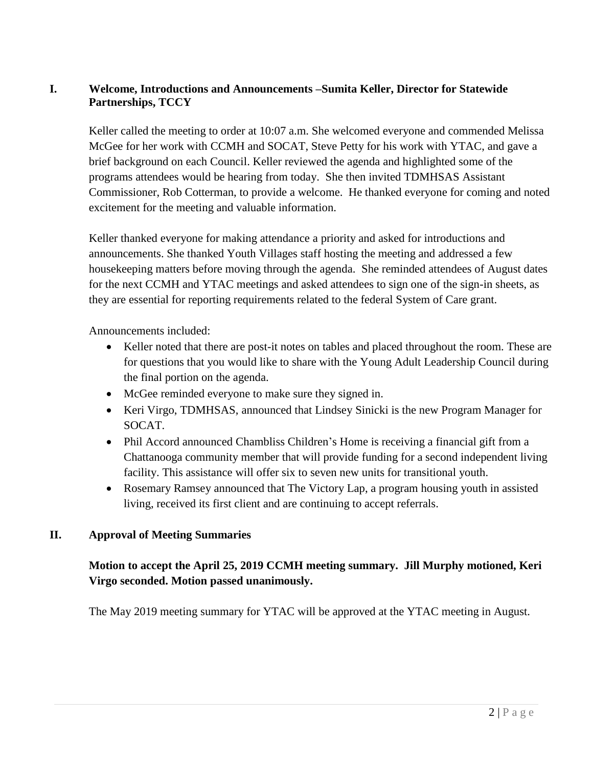### **I. Welcome, Introductions and Announcements –Sumita Keller, Director for Statewide Partnerships, TCCY**

Keller called the meeting to order at 10:07 a.m. She welcomed everyone and commended Melissa McGee for her work with CCMH and SOCAT, Steve Petty for his work with YTAC, and gave a brief background on each Council. Keller reviewed the agenda and highlighted some of the programs attendees would be hearing from today. She then invited TDMHSAS Assistant Commissioner, Rob Cotterman, to provide a welcome. He thanked everyone for coming and noted excitement for the meeting and valuable information.

Keller thanked everyone for making attendance a priority and asked for introductions and announcements. She thanked Youth Villages staff hosting the meeting and addressed a few housekeeping matters before moving through the agenda. She reminded attendees of August dates for the next CCMH and YTAC meetings and asked attendees to sign one of the sign-in sheets, as they are essential for reporting requirements related to the federal System of Care grant.

Announcements included:

- Keller noted that there are post-it notes on tables and placed throughout the room. These are for questions that you would like to share with the Young Adult Leadership Council during the final portion on the agenda.
- McGee reminded everyone to make sure they signed in.
- Keri Virgo, TDMHSAS, announced that Lindsey Sinicki is the new Program Manager for SOCAT.
- Phil Accord announced Chambliss Children's Home is receiving a financial gift from a Chattanooga community member that will provide funding for a second independent living facility. This assistance will offer six to seven new units for transitional youth.
- Rosemary Ramsey announced that The Victory Lap, a program housing youth in assisted living, received its first client and are continuing to accept referrals.

#### **II. Approval of Meeting Summaries**

### **Motion to accept the April 25, 2019 CCMH meeting summary. Jill Murphy motioned, Keri Virgo seconded. Motion passed unanimously.**

The May 2019 meeting summary for YTAC will be approved at the YTAC meeting in August.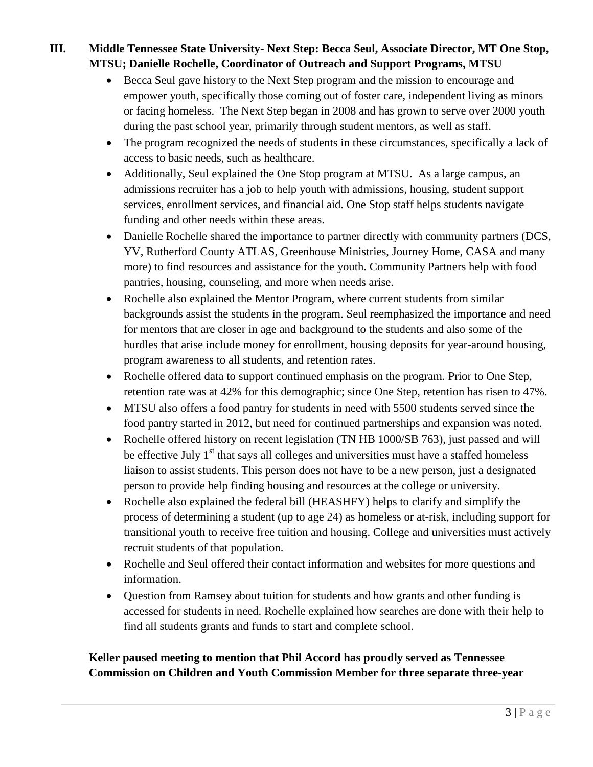# **III. Middle Tennessee State University- Next Step: Becca Seul, Associate Director, MT One Stop, MTSU; Danielle Rochelle, Coordinator of Outreach and Support Programs, MTSU**

- Becca Seul gave history to the Next Step program and the mission to encourage and empower youth, specifically those coming out of foster care, independent living as minors or facing homeless. The Next Step began in 2008 and has grown to serve over 2000 youth during the past school year, primarily through student mentors, as well as staff.
- The program recognized the needs of students in these circumstances, specifically a lack of access to basic needs, such as healthcare.
- Additionally, Seul explained the One Stop program at MTSU. As a large campus, an admissions recruiter has a job to help youth with admissions, housing, student support services, enrollment services, and financial aid. One Stop staff helps students navigate funding and other needs within these areas.
- Danielle Rochelle shared the importance to partner directly with community partners (DCS, YV, Rutherford County ATLAS, Greenhouse Ministries, Journey Home, CASA and many more) to find resources and assistance for the youth. Community Partners help with food pantries, housing, counseling, and more when needs arise.
- Rochelle also explained the Mentor Program, where current students from similar backgrounds assist the students in the program. Seul reemphasized the importance and need for mentors that are closer in age and background to the students and also some of the hurdles that arise include money for enrollment, housing deposits for year-around housing, program awareness to all students, and retention rates.
- Rochelle offered data to support continued emphasis on the program. Prior to One Step, retention rate was at 42% for this demographic; since One Step, retention has risen to 47%.
- MTSU also offers a food pantry for students in need with 5500 students served since the food pantry started in 2012, but need for continued partnerships and expansion was noted.
- Rochelle offered history on recent legislation (TN HB 1000/SB 763), just passed and will be effective July  $1<sup>st</sup>$  that says all colleges and universities must have a staffed homeless liaison to assist students. This person does not have to be a new person, just a designated person to provide help finding housing and resources at the college or university.
- Rochelle also explained the federal bill (HEASHFY) helps to clarify and simplify the process of determining a student (up to age 24) as homeless or at-risk, including support for transitional youth to receive free tuition and housing. College and universities must actively recruit students of that population.
- Rochelle and Seul offered their contact information and websites for more questions and information.
- Question from Ramsey about tuition for students and how grants and other funding is accessed for students in need. Rochelle explained how searches are done with their help to find all students grants and funds to start and complete school.

# **Keller paused meeting to mention that Phil Accord has proudly served as Tennessee Commission on Children and Youth Commission Member for three separate three-year**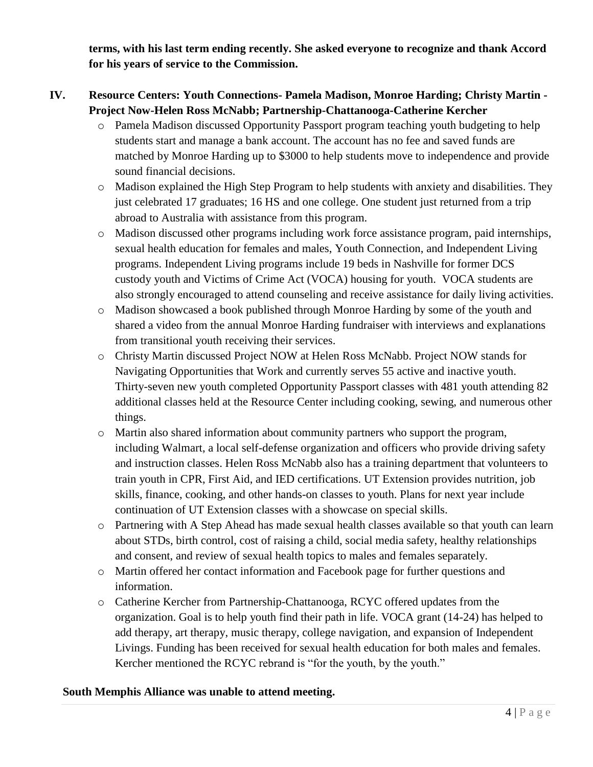**terms, with his last term ending recently. She asked everyone to recognize and thank Accord for his years of service to the Commission.**

### **IV. Resource Centers: Youth Connections- Pamela Madison, Monroe Harding; Christy Martin - Project Now-Helen Ross McNabb; Partnership-Chattanooga-Catherine Kercher**

- o Pamela Madison discussed Opportunity Passport program teaching youth budgeting to help students start and manage a bank account. The account has no fee and saved funds are matched by Monroe Harding up to \$3000 to help students move to independence and provide sound financial decisions.
- o Madison explained the High Step Program to help students with anxiety and disabilities. They just celebrated 17 graduates; 16 HS and one college. One student just returned from a trip abroad to Australia with assistance from this program.
- o Madison discussed other programs including work force assistance program, paid internships, sexual health education for females and males, Youth Connection, and Independent Living programs. Independent Living programs include 19 beds in Nashville for former DCS custody youth and Victims of Crime Act (VOCA) housing for youth. VOCA students are also strongly encouraged to attend counseling and receive assistance for daily living activities.
- o Madison showcased a book published through Monroe Harding by some of the youth and shared a video from the annual Monroe Harding fundraiser with interviews and explanations from transitional youth receiving their services.
- o Christy Martin discussed Project NOW at Helen Ross McNabb. Project NOW stands for Navigating Opportunities that Work and currently serves 55 active and inactive youth. Thirty-seven new youth completed Opportunity Passport classes with 481 youth attending 82 additional classes held at the Resource Center including cooking, sewing, and numerous other things.
- o Martin also shared information about community partners who support the program, including Walmart, a local self-defense organization and officers who provide driving safety and instruction classes. Helen Ross McNabb also has a training department that volunteers to train youth in CPR, First Aid, and IED certifications. UT Extension provides nutrition, job skills, finance, cooking, and other hands-on classes to youth. Plans for next year include continuation of UT Extension classes with a showcase on special skills.
- o Partnering with A Step Ahead has made sexual health classes available so that youth can learn about STDs, birth control, cost of raising a child, social media safety, healthy relationships and consent, and review of sexual health topics to males and females separately.
- o Martin offered her contact information and Facebook page for further questions and information.
- o Catherine Kercher from Partnership-Chattanooga, RCYC offered updates from the organization. Goal is to help youth find their path in life. VOCA grant (14-24) has helped to add therapy, art therapy, music therapy, college navigation, and expansion of Independent Livings. Funding has been received for sexual health education for both males and females. Kercher mentioned the RCYC rebrand is "for the youth, by the youth."

#### **South Memphis Alliance was unable to attend meeting.**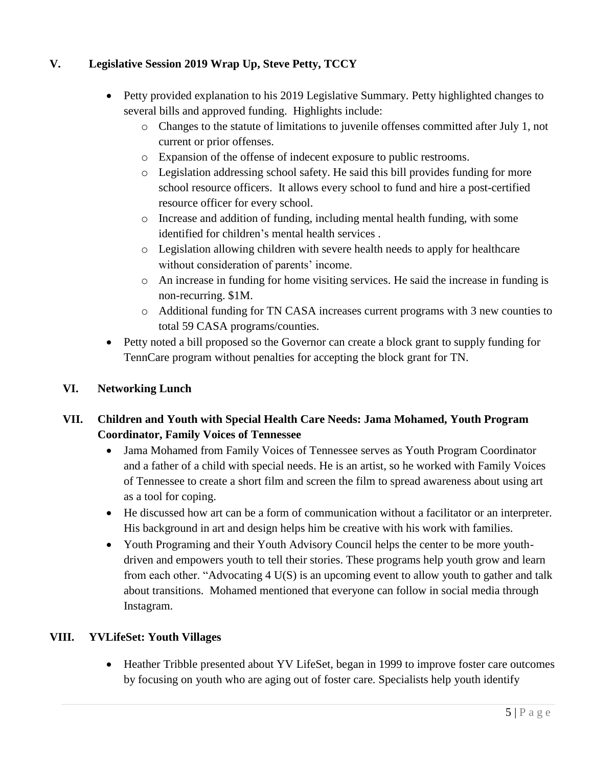## **V. Legislative Session 2019 Wrap Up, Steve Petty, TCCY**

- Petty provided explanation to his 2019 Legislative Summary. Petty highlighted changes to several bills and approved funding. Highlights include:
	- o Changes to the statute of limitations to juvenile offenses committed after July 1, not current or prior offenses.
	- o Expansion of the offense of indecent exposure to public restrooms.
	- o Legislation addressing school safety. He said this bill provides funding for more school resource officers. It allows every school to fund and hire a post-certified resource officer for every school.
	- o Increase and addition of funding, including mental health funding, with some identified for children's mental health services .
	- o Legislation allowing children with severe health needs to apply for healthcare without consideration of parents' income.
	- o An increase in funding for home visiting services. He said the increase in funding is non-recurring. \$1M.
	- o Additional funding for TN CASA increases current programs with 3 new counties to total 59 CASA programs/counties.
- Petty noted a bill proposed so the Governor can create a block grant to supply funding for TennCare program without penalties for accepting the block grant for TN.

### **VI. Networking Lunch**

## **VII. Children and Youth with Special Health Care Needs: Jama Mohamed, Youth Program Coordinator, Family Voices of Tennessee**

- Jama Mohamed from Family Voices of Tennessee serves as Youth Program Coordinator and a father of a child with special needs. He is an artist, so he worked with Family Voices of Tennessee to create a short film and screen the film to spread awareness about using art as a tool for coping.
- He discussed how art can be a form of communication without a facilitator or an interpreter. His background in art and design helps him be creative with his work with families.
- Youth Programing and their Youth Advisory Council helps the center to be more youthdriven and empowers youth to tell their stories. These programs help youth grow and learn from each other. "Advocating 4 U(S) is an upcoming event to allow youth to gather and talk about transitions. Mohamed mentioned that everyone can follow in social media through Instagram.

### **VIII. YVLifeSet: Youth Villages**

• Heather Tribble presented about YV LifeSet, began in 1999 to improve foster care outcomes by focusing on youth who are aging out of foster care. Specialists help youth identify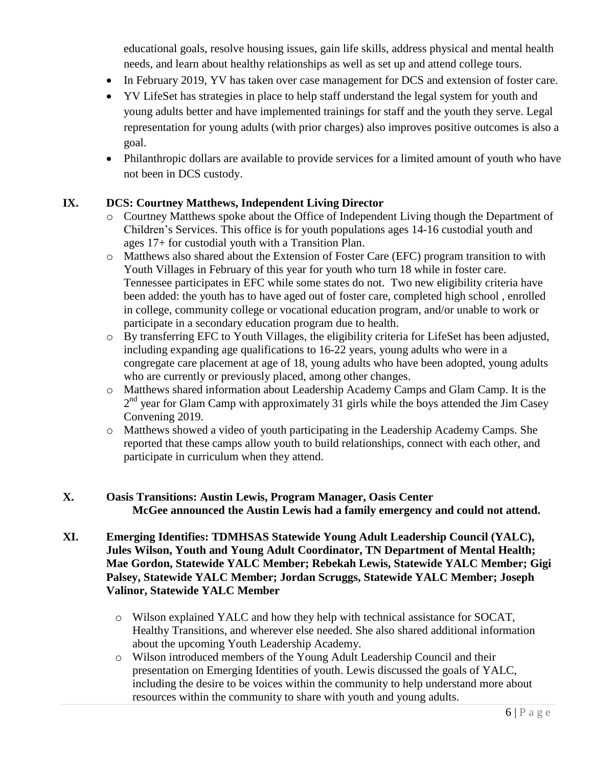educational goals, resolve housing issues, gain life skills, address physical and mental health needs, and learn about healthy relationships as well as set up and attend college tours.

- In February 2019, YV has taken over case management for DCS and extension of foster care.
- YV LifeSet has strategies in place to help staff understand the legal system for youth and young adults better and have implemented trainings for staff and the youth they serve. Legal representation for young adults (with prior charges) also improves positive outcomes is also a goal.
- Philanthropic dollars are available to provide services for a limited amount of youth who have not been in DCS custody.

#### **IX. DCS: Courtney Matthews, Independent Living Director**

- o Courtney Matthews spoke about the Office of Independent Living though the Department of Children's Services. This office is for youth populations ages 14-16 custodial youth and ages 17+ for custodial youth with a Transition Plan.
- o Matthews also shared about the Extension of Foster Care (EFC) program transition to with Youth Villages in February of this year for youth who turn 18 while in foster care. Tennessee participates in EFC while some states do not. Two new eligibility criteria have been added: the youth has to have aged out of foster care, completed high school , enrolled in college, community college or vocational education program, and/or unable to work or participate in a secondary education program due to health.
- o By transferring EFC to Youth Villages, the eligibility criteria for LifeSet has been adjusted, including expanding age qualifications to 16-22 years, young adults who were in a congregate care placement at age of 18, young adults who have been adopted, young adults who are currently or previously placed, among other changes.
- o Matthews shared information about Leadership Academy Camps and Glam Camp. It is the 2<sup>nd</sup> year for Glam Camp with approximately 31 girls while the boys attended the Jim Casey Convening 2019.
- o Matthews showed a video of youth participating in the Leadership Academy Camps. She reported that these camps allow youth to build relationships, connect with each other, and participate in curriculum when they attend.

### **X. Oasis Transitions: Austin Lewis, Program Manager, Oasis Center McGee announced the Austin Lewis had a family emergency and could not attend.**

#### **XI. Emerging Identifies: TDMHSAS Statewide Young Adult Leadership Council (YALC), Jules Wilson, Youth and Young Adult Coordinator, TN Department of Mental Health; Mae Gordon, Statewide YALC Member; Rebekah Lewis, Statewide YALC Member; Gigi Palsey, Statewide YALC Member; Jordan Scruggs, Statewide YALC Member; Joseph Valinor, Statewide YALC Member**

- o Wilson explained YALC and how they help with technical assistance for SOCAT, Healthy Transitions, and wherever else needed. She also shared additional information about the upcoming Youth Leadership Academy.
- o Wilson introduced members of the Young Adult Leadership Council and their presentation on Emerging Identities of youth. Lewis discussed the goals of YALC, including the desire to be voices within the community to help understand more about resources within the community to share with youth and young adults.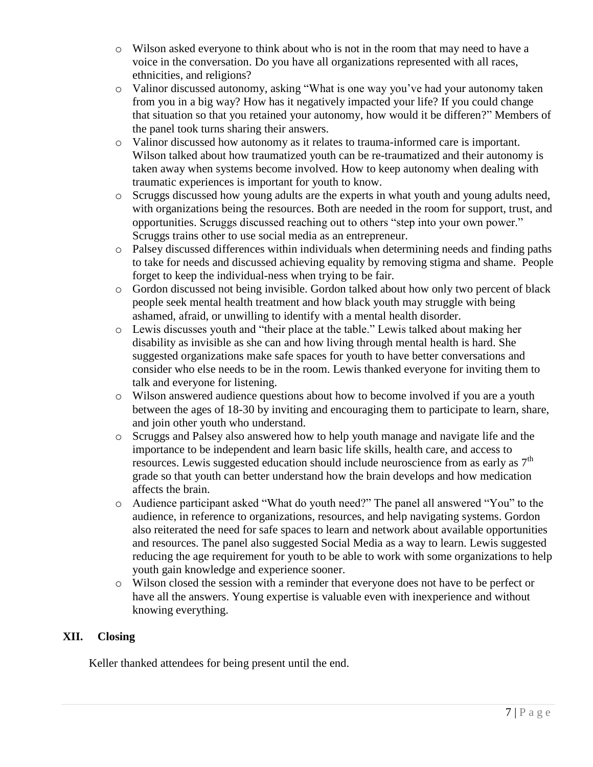- o Wilson asked everyone to think about who is not in the room that may need to have a voice in the conversation. Do you have all organizations represented with all races, ethnicities, and religions?
- o Valinor discussed autonomy, asking "What is one way you've had your autonomy taken from you in a big way? How has it negatively impacted your life? If you could change that situation so that you retained your autonomy, how would it be differen?" Members of the panel took turns sharing their answers.
- o Valinor discussed how autonomy as it relates to trauma-informed care is important. Wilson talked about how traumatized youth can be re-traumatized and their autonomy is taken away when systems become involved. How to keep autonomy when dealing with traumatic experiences is important for youth to know.
- o Scruggs discussed how young adults are the experts in what youth and young adults need, with organizations being the resources. Both are needed in the room for support, trust, and opportunities. Scruggs discussed reaching out to others "step into your own power." Scruggs trains other to use social media as an entrepreneur.
- o Palsey discussed differences within individuals when determining needs and finding paths to take for needs and discussed achieving equality by removing stigma and shame. People forget to keep the individual-ness when trying to be fair.
- o Gordon discussed not being invisible. Gordon talked about how only two percent of black people seek mental health treatment and how black youth may struggle with being ashamed, afraid, or unwilling to identify with a mental health disorder.
- o Lewis discusses youth and "their place at the table." Lewis talked about making her disability as invisible as she can and how living through mental health is hard. She suggested organizations make safe spaces for youth to have better conversations and consider who else needs to be in the room. Lewis thanked everyone for inviting them to talk and everyone for listening.
- o Wilson answered audience questions about how to become involved if you are a youth between the ages of 18-30 by inviting and encouraging them to participate to learn, share, and join other youth who understand.
- o Scruggs and Palsey also answered how to help youth manage and navigate life and the importance to be independent and learn basic life skills, health care, and access to resources. Lewis suggested education should include neuroscience from as early as  $7<sup>th</sup>$ grade so that youth can better understand how the brain develops and how medication affects the brain.
- o Audience participant asked "What do youth need?" The panel all answered "You" to the audience, in reference to organizations, resources, and help navigating systems. Gordon also reiterated the need for safe spaces to learn and network about available opportunities and resources. The panel also suggested Social Media as a way to learn. Lewis suggested reducing the age requirement for youth to be able to work with some organizations to help youth gain knowledge and experience sooner.
- o Wilson closed the session with a reminder that everyone does not have to be perfect or have all the answers. Young expertise is valuable even with inexperience and without knowing everything.

#### **XII. Closing**

Keller thanked attendees for being present until the end.